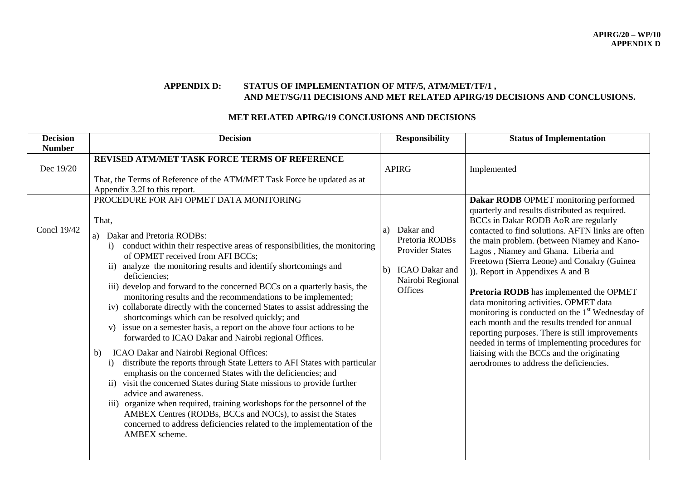## **APPENDIX D: STATUS OF IMPLEMENTATION OF MTF/5, ATM/MET/TF/1 , AND MET/SG/11 DECISIONS AND MET RELATED APIRG/19 DECISIONS AND CONCLUSIONS.**

### **MET RELATED APIRG/19 CONCLUSIONS AND DECISIONS**

| <b>Decision</b>                           | <b>Decision</b>                                                                                                                                                                                                                                                                                                                                                                                                                                                                                                                                                                                                                                                                                                                                                                                                                                                                                                                                                                                                                                                                                                                                                                                                                                              | <b>Responsibility</b>                                                                               | <b>Status of Implementation</b>                                                                                                                                                                                                                                                                                                                                                                                                                                                                                                                                           |
|-------------------------------------------|--------------------------------------------------------------------------------------------------------------------------------------------------------------------------------------------------------------------------------------------------------------------------------------------------------------------------------------------------------------------------------------------------------------------------------------------------------------------------------------------------------------------------------------------------------------------------------------------------------------------------------------------------------------------------------------------------------------------------------------------------------------------------------------------------------------------------------------------------------------------------------------------------------------------------------------------------------------------------------------------------------------------------------------------------------------------------------------------------------------------------------------------------------------------------------------------------------------------------------------------------------------|-----------------------------------------------------------------------------------------------------|---------------------------------------------------------------------------------------------------------------------------------------------------------------------------------------------------------------------------------------------------------------------------------------------------------------------------------------------------------------------------------------------------------------------------------------------------------------------------------------------------------------------------------------------------------------------------|
| <b>Number</b><br>Dec 19/20<br>Concl 19/42 | REVISED ATM/MET TASK FORCE TERMS OF REFERENCE<br>That, the Terms of Reference of the ATM/MET Task Force be updated as at<br>Appendix 3.2I to this report.<br>PROCEDURE FOR AFI OPMET DATA MONITORING<br>That,                                                                                                                                                                                                                                                                                                                                                                                                                                                                                                                                                                                                                                                                                                                                                                                                                                                                                                                                                                                                                                                | <b>APIRG</b><br>Dakar and<br>a)                                                                     | Implemented<br>Dakar RODB OPMET monitoring performed<br>quarterly and results distributed as required.<br>BCCs in Dakar RODB AoR are regularly<br>contacted to find solutions. AFTN links are often                                                                                                                                                                                                                                                                                                                                                                       |
|                                           | Dakar and Pretoria RODBs:<br>a)<br>conduct within their respective areas of responsibilities, the monitoring<br>$\mathbf{i}$<br>of OPMET received from AFI BCCs;<br>analyze the monitoring results and identify shortcomings and<br>$\overline{11}$<br>deficiencies;<br>iii) develop and forward to the concerned BCCs on a quarterly basis, the<br>monitoring results and the recommendations to be implemented;<br>iv) collaborate directly with the concerned States to assist addressing the<br>shortcomings which can be resolved quickly; and<br>v) issue on a semester basis, a report on the above four actions to be<br>forwarded to ICAO Dakar and Nairobi regional Offices.<br>ICAO Dakar and Nairobi Regional Offices:<br>b)<br>distribute the reports through State Letters to AFI States with particular<br>$\bf{1)}$<br>emphasis on the concerned States with the deficiencies; and<br>ii) visit the concerned States during State missions to provide further<br>advice and awareness.<br>organize when required, training workshops for the personnel of the<br>$\overline{111}$ )<br>AMBEX Centres (RODBs, BCCs and NOCs), to assist the States<br>concerned to address deficiencies related to the implementation of the<br>AMBEX scheme. | Pretoria RODBs<br><b>Provider States</b><br>b) ICAO Dakar and<br>Nairobi Regional<br><b>Offices</b> | the main problem. (between Niamey and Kano-<br>Lagos, Niamey and Ghana. Liberia and<br>Freetown (Sierra Leone) and Conakry (Guinea<br>)). Report in Appendixes A and B<br>Pretoria RODB has implemented the OPMET<br>data monitoring activities. OPMET data<br>monitoring is conducted on the 1 <sup>st</sup> Wednesday of<br>each month and the results trended for annual<br>reporting purposes. There is still improvements<br>needed in terms of implementing procedures for<br>liaising with the BCCs and the originating<br>aerodromes to address the deficiencies. |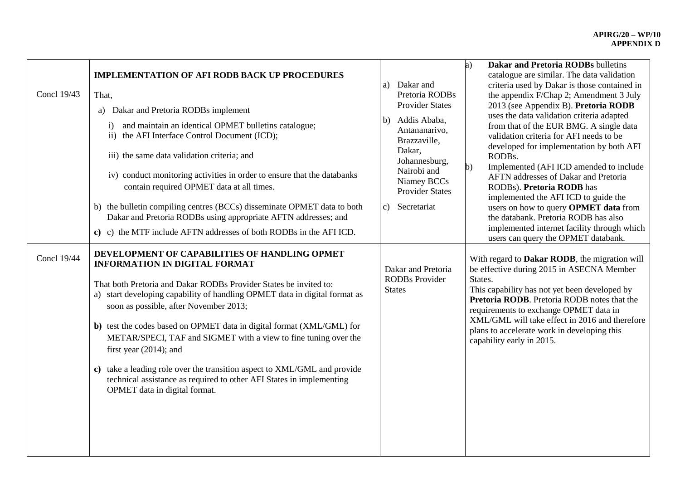| Concl 19/43 | <b>IMPLEMENTATION OF AFI RODB BACK UP PROCEDURES</b><br>That,<br>Dakar and Pretoria RODBs implement<br>a)<br>and maintain an identical OPMET bulletins catalogue;<br>$\rm i)$<br>ii) the AFI Interface Control Document (ICD);<br>iii) the same data validation criteria; and<br>iv) conduct monitoring activities in order to ensure that the databanks<br>contain required OPMET data at all times.<br>b) the bulletin compiling centres (BCCs) disseminate OPMET data to both<br>Dakar and Pretoria RODBs using appropriate AFTN addresses; and<br>c) c) the MTF include AFTN addresses of both RODBs in the AFI ICD.                         | a) Dakar and<br>Pretoria RODBs<br><b>Provider States</b><br>Addis Ababa,<br>b)<br>Antananarivo,<br>Brazzaville,<br>Dakar,<br>Johannesburg,<br>Nairobi and<br>Niamey BCCs<br><b>Provider States</b><br>Secretariat<br>$\mathbf{c}$ ) | <b>Dakar and Pretoria RODBs bulletins</b><br>a)<br>catalogue are similar. The data validation<br>criteria used by Dakar is those contained in<br>the appendix F/Chap 2; Amendment 3 July<br>2013 (see Appendix B). Pretoria RODB<br>uses the data validation criteria adapted<br>from that of the EUR BMG. A single data<br>validation criteria for AFI needs to be<br>developed for implementation by both AFI<br>RODBs.<br>Implemented (AFI ICD amended to include<br>b)<br>AFTN addresses of Dakar and Pretoria<br>RODBs). Pretoria RODB has<br>implemented the AFI ICD to guide the<br>users on how to query OPMET data from<br>the databank. Pretoria RODB has also<br>implemented internet facility through which<br>users can query the OPMET databank. |
|-------------|--------------------------------------------------------------------------------------------------------------------------------------------------------------------------------------------------------------------------------------------------------------------------------------------------------------------------------------------------------------------------------------------------------------------------------------------------------------------------------------------------------------------------------------------------------------------------------------------------------------------------------------------------|-------------------------------------------------------------------------------------------------------------------------------------------------------------------------------------------------------------------------------------|----------------------------------------------------------------------------------------------------------------------------------------------------------------------------------------------------------------------------------------------------------------------------------------------------------------------------------------------------------------------------------------------------------------------------------------------------------------------------------------------------------------------------------------------------------------------------------------------------------------------------------------------------------------------------------------------------------------------------------------------------------------|
| Concl 19/44 | DEVELOPMENT OF CAPABILITIES OF HANDLING OPMET<br><b>INFORMATION IN DIGITAL FORMAT</b><br>That both Pretoria and Dakar RODBs Provider States be invited to:<br>a) start developing capability of handling OPMET data in digital format as<br>soon as possible, after November 2013;<br>b) test the codes based on OPMET data in digital format (XML/GML) for<br>METAR/SPECI, TAF and SIGMET with a view to fine tuning over the<br>first year $(2014)$ ; and<br>c) take a leading role over the transition aspect to XML/GML and provide<br>technical assistance as required to other AFI States in implementing<br>OPMET data in digital format. | Dakar and Pretoria<br><b>RODBs</b> Provider<br><b>States</b>                                                                                                                                                                        | With regard to Dakar RODB, the migration will<br>be effective during 2015 in ASECNA Member<br>States.<br>This capability has not yet been developed by<br>Pretoria RODB. Pretoria RODB notes that the<br>requirements to exchange OPMET data in<br>XML/GML will take effect in 2016 and therefore<br>plans to accelerate work in developing this<br>capability early in 2015.                                                                                                                                                                                                                                                                                                                                                                                  |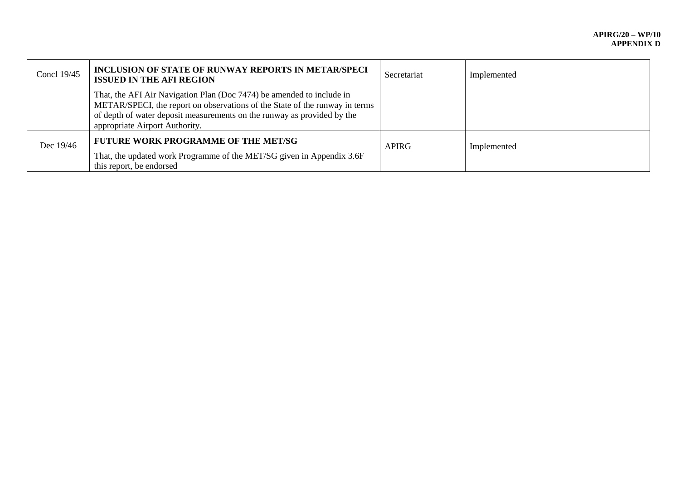| Concl 19/45 | <b>INCLUSION OF STATE OF RUNWAY REPORTS IN METAR/SPECI</b><br><b>ISSUED IN THE AFI REGION</b>                                                                                                                                                                     | Secretariat  | Implemented |
|-------------|-------------------------------------------------------------------------------------------------------------------------------------------------------------------------------------------------------------------------------------------------------------------|--------------|-------------|
|             | That, the AFI Air Navigation Plan (Doc 7474) be amended to include in<br>METAR/SPECI, the report on observations of the State of the runway in terms<br>of depth of water deposit measurements on the runway as provided by the<br>appropriate Airport Authority. |              |             |
| Dec 19/46   | <b>FUTURE WORK PROGRAMME OF THE MET/SG</b><br>That, the updated work Programme of the MET/SG given in Appendix 3.6F<br>this report, be endorsed                                                                                                                   | <b>APIRG</b> | Implemented |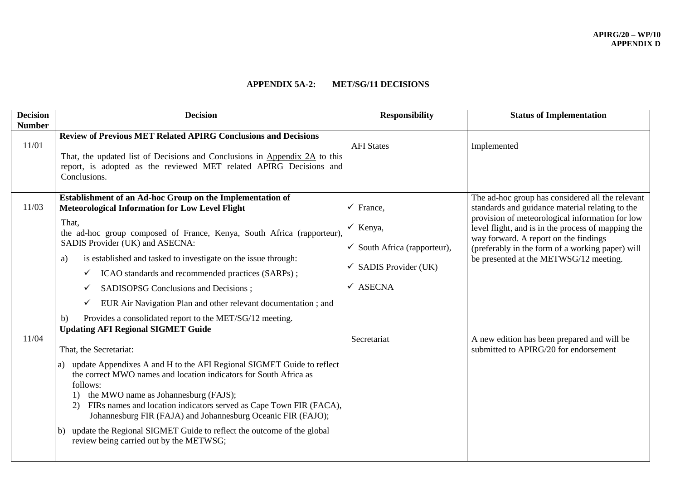## **APPENDIX 5A-2: MET/SG/11 DECISIONS**

| <b>Number</b>                                                                                                                                                                                                                                                                                                                                                                                                                                                                                                                                                                                                                                                                                                                                                                                                                                                                                                                                                                                                                                                                                                                                                                                                                     |                                                                                                                                                                                                                                                                                                                                                                                                                                             |
|-----------------------------------------------------------------------------------------------------------------------------------------------------------------------------------------------------------------------------------------------------------------------------------------------------------------------------------------------------------------------------------------------------------------------------------------------------------------------------------------------------------------------------------------------------------------------------------------------------------------------------------------------------------------------------------------------------------------------------------------------------------------------------------------------------------------------------------------------------------------------------------------------------------------------------------------------------------------------------------------------------------------------------------------------------------------------------------------------------------------------------------------------------------------------------------------------------------------------------------|---------------------------------------------------------------------------------------------------------------------------------------------------------------------------------------------------------------------------------------------------------------------------------------------------------------------------------------------------------------------------------------------------------------------------------------------|
| <b>Review of Previous MET Related APIRG Conclusions and Decisions</b><br>11/01<br><b>AFI</b> States<br>That, the updated list of Decisions and Conclusions in Appendix 2A to this<br>report, is adopted as the reviewed MET related APIRG Decisions and<br>Conclusions.                                                                                                                                                                                                                                                                                                                                                                                                                                                                                                                                                                                                                                                                                                                                                                                                                                                                                                                                                           | Implemented                                                                                                                                                                                                                                                                                                                                                                                                                                 |
| Establishment of an Ad-hoc Group on the Implementation of<br>11/03<br><b>Meteorological Information for Low Level Flight</b><br>France,<br>That,<br>Kenya,<br>the ad-hoc group composed of France, Kenya, South Africa (rapporteur),<br>SADIS Provider (UK) and ASECNA:<br>South Africa (rapporteur),<br>is established and tasked to investigate on the issue through:<br>a)<br>SADIS Provider (UK)<br>ICAO standards and recommended practices (SARPs);<br><b>ASECNA</b><br>SADISOPSG Conclusions and Decisions;<br>EUR Air Navigation Plan and other relevant documentation; and<br>✓<br>Provides a consolidated report to the MET/SG/12 meeting.<br>b)<br><b>Updating AFI Regional SIGMET Guide</b><br>11/04<br>Secretariat<br>That, the Secretariat:<br>update Appendixes A and H to the AFI Regional SIGMET Guide to reflect<br>the correct MWO names and location indicators for South Africa as<br>follows:<br>the MWO name as Johannesburg (FAJS);<br>1)<br>FIRs names and location indicators served as Cape Town FIR (FACA),<br>Johannesburg FIR (FAJA) and Johannesburg Oceanic FIR (FAJO);<br>update the Regional SIGMET Guide to reflect the outcome of the global<br>b)<br>review being carried out by the METWSG; | The ad-hoc group has considered all the relevant<br>standards and guidance material relating to the<br>provision of meteorological information for low<br>level flight, and is in the process of mapping the<br>way forward. A report on the findings<br>(preferably in the form of a working paper) will<br>be presented at the METWSG/12 meeting.<br>A new edition has been prepared and will be<br>submitted to APIRG/20 for endorsement |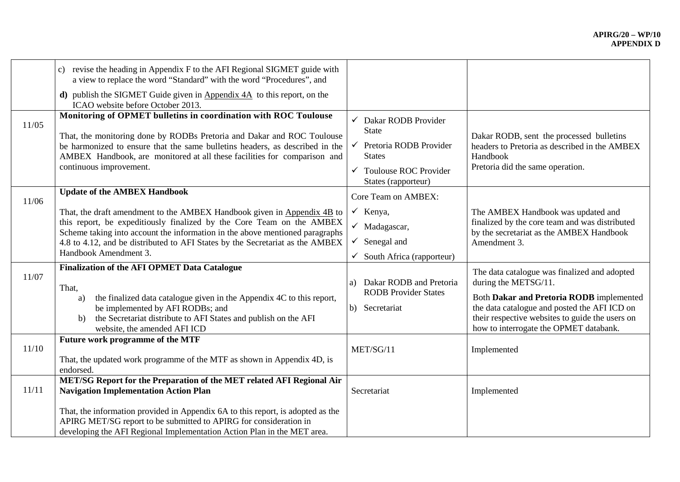| 11/05          | revise the heading in Appendix F to the AFI Regional SIGMET guide with<br>c)<br>a view to replace the word "Standard" with the word "Procedures", and<br><b>d</b> ) publish the SIGMET Guide given in Appendix $4A$ to this report, on the<br>ICAO website before October 2013.<br>Monitoring of OPMET bulletins in coordination with ROC Toulouse<br>That, the monitoring done by RODBs Pretoria and Dakar and ROC Toulouse<br>be harmonized to ensure that the same bulletins headers, as described in the<br>AMBEX Handbook, are monitored at all these facilities for comparison and                                                      | $\checkmark$ Dakar RODB Provider<br><b>State</b><br>$\checkmark$ Pretoria RODB Provider<br><b>States</b>                                                                                                                       | Dakar RODB, sent the processed bulletins<br>headers to Pretoria as described in the AMBEX<br>Handbook                                                                                                                                                                                                                                                                   |
|----------------|-----------------------------------------------------------------------------------------------------------------------------------------------------------------------------------------------------------------------------------------------------------------------------------------------------------------------------------------------------------------------------------------------------------------------------------------------------------------------------------------------------------------------------------------------------------------------------------------------------------------------------------------------|--------------------------------------------------------------------------------------------------------------------------------------------------------------------------------------------------------------------------------|-------------------------------------------------------------------------------------------------------------------------------------------------------------------------------------------------------------------------------------------------------------------------------------------------------------------------------------------------------------------------|
|                | continuous improvement.                                                                                                                                                                                                                                                                                                                                                                                                                                                                                                                                                                                                                       | $\checkmark$ Toulouse ROC Provider<br>States (rapporteur)                                                                                                                                                                      | Pretoria did the same operation.                                                                                                                                                                                                                                                                                                                                        |
| 11/06<br>11/07 | <b>Update of the AMBEX Handbook</b><br>That, the draft amendment to the AMBEX Handbook given in Appendix 4B to<br>this report, be expeditiously finalized by the Core Team on the AMBEX<br>Scheme taking into account the information in the above mentioned paragraphs<br>4.8 to 4.12, and be distributed to AFI States by the Secretariat as the AMBEX<br>Handbook Amendment 3.<br><b>Finalization of the AFI OPMET Data Catalogue</b><br>That,<br>the finalized data catalogue given in the Appendix 4C to this report,<br>a)<br>be implemented by AFI RODBs; and<br>the Secretariat distribute to AFI States and publish on the AFI<br>b) | Core Team on AMBEX:<br>$\checkmark$ Kenya,<br>$\checkmark$ Madagascar,<br>$\checkmark$ Senegal and<br>$\checkmark$ South Africa (rapporteur)<br>Dakar RODB and Pretoria<br>a)<br><b>RODB</b> Provider States<br>b) Secretariat | The AMBEX Handbook was updated and<br>finalized by the core team and was distributed<br>by the secretariat as the AMBEX Handbook<br>Amendment 3.<br>The data catalogue was finalized and adopted<br>during the METSG/11.<br>Both Dakar and Pretoria RODB implemented<br>the data catalogue and posted the AFI ICD on<br>their respective websites to guide the users on |
| 11/10          | website, the amended AFI ICD<br>Future work programme of the MTF<br>That, the updated work programme of the MTF as shown in Appendix 4D, is<br>endorsed.                                                                                                                                                                                                                                                                                                                                                                                                                                                                                      | MET/SG/11                                                                                                                                                                                                                      | how to interrogate the OPMET databank.<br>Implemented                                                                                                                                                                                                                                                                                                                   |
| 11/11          | MET/SG Report for the Preparation of the MET related AFI Regional Air<br><b>Navigation Implementation Action Plan</b><br>That, the information provided in Appendix 6A to this report, is adopted as the<br>APIRG MET/SG report to be submitted to APIRG for consideration in<br>developing the AFI Regional Implementation Action Plan in the MET area.                                                                                                                                                                                                                                                                                      | Secretariat                                                                                                                                                                                                                    | Implemented                                                                                                                                                                                                                                                                                                                                                             |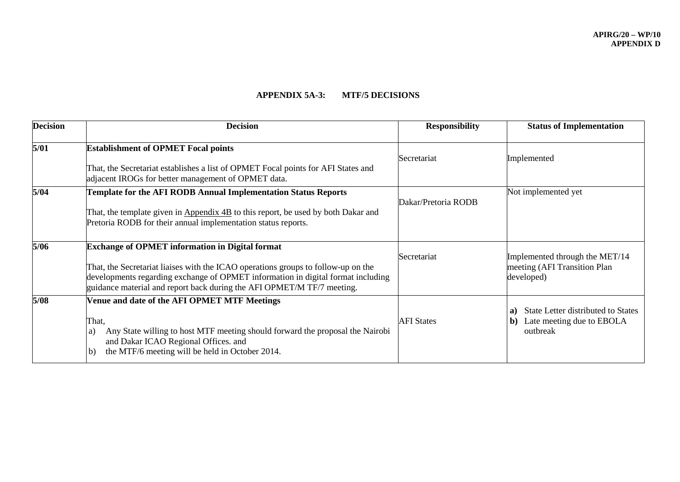### **APPENDIX 5A-3: MTF/5 DECISIONS**

| <b>Decision</b> | <b>Decision</b>                                                                                                                                                                                                                                                                                           | <b>Responsibility</b> | <b>Status of Implementation</b>                                                         |
|-----------------|-----------------------------------------------------------------------------------------------------------------------------------------------------------------------------------------------------------------------------------------------------------------------------------------------------------|-----------------------|-----------------------------------------------------------------------------------------|
| 5/01            | <b>Establishment of OPMET Focal points</b><br>That, the Secretariat establishes a list of OPMET Focal points for AFI States and<br>adjacent IROGs for better management of OPMET data.                                                                                                                    | Secretariat           | Implemented                                                                             |
| 5/04            | Template for the AFI RODB Annual Implementation Status Reports<br>That, the template given in Appendix 4B to this report, be used by both Dakar and<br>Pretoria RODB for their annual implementation status reports.                                                                                      | Dakar/Pretoria RODB   | Not implemented yet                                                                     |
| 5/06            | <b>Exchange of OPMET information in Digital format</b><br>That, the Secretariat liaises with the ICAO operations groups to follow-up on the<br>developments regarding exchange of OPMET information in digital format including<br>guidance material and report back during the AFI OPMET/M TF/7 meeting. | Secretariat           | Implemented through the MET/14<br>meeting (AFI Transition Plan<br>developed)            |
| 5/08            | Venue and date of the AFI OPMET MTF Meetings<br>That,<br>Any State willing to host MTF meeting should forward the proposal the Nairobi<br>a)<br>and Dakar ICAO Regional Offices. and<br>the MTF/6 meeting will be held in October 2014.<br>b)                                                             | <b>AFI</b> States     | State Letter distributed to States<br>a)<br>Late meeting due to EBOLA<br>b)<br>outbreak |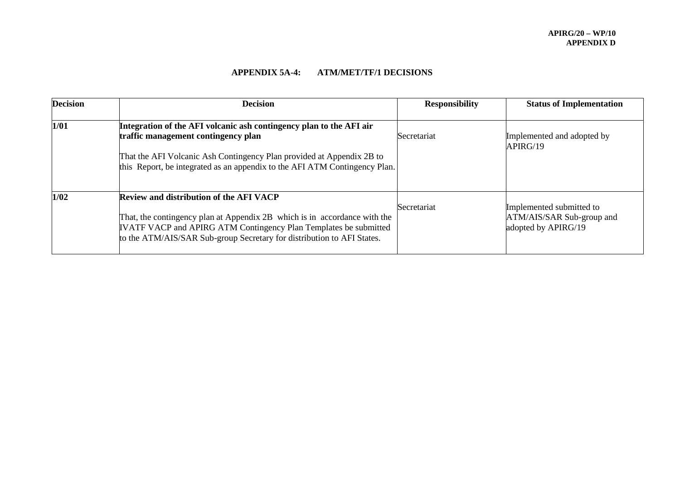# **APPENDIX 5A-4: ATM/MET/TF/1 DECISIONS**

| <b>Decision</b> | <b>Decision</b>                                                                                                                                                                                                                                                           | <b>Responsibility</b> | <b>Status of Implementation</b>                                              |
|-----------------|---------------------------------------------------------------------------------------------------------------------------------------------------------------------------------------------------------------------------------------------------------------------------|-----------------------|------------------------------------------------------------------------------|
| 1/01            | Integration of the AFI volcanic ash contingency plan to the AFI air<br>traffic management contingency plan<br>That the AFI Volcanic Ash Contingency Plan provided at Appendix 2B to<br>this Report, be integrated as an appendix to the AFI ATM Contingency Plan.         | Secretariat           | Implemented and adopted by<br>APIRG/19                                       |
| 1/02            | <b>Review and distribution of the AFI VACP</b><br>That, the contingency plan at Appendix 2B which is in accordance with the<br>IVATF VACP and APIRG ATM Contingency Plan Templates be submitted<br>to the ATM/AIS/SAR Sub-group Secretary for distribution to AFI States. | Secretariat           | Implemented submitted to<br>ATM/AIS/SAR Sub-group and<br>adopted by APIRG/19 |